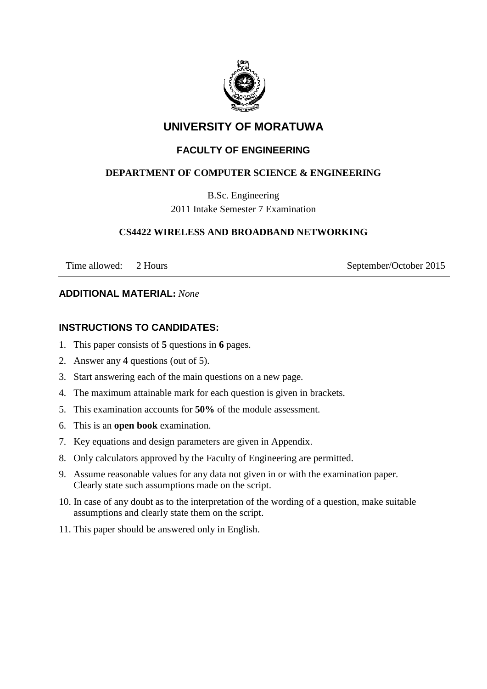

# **UNIVERSITY OF MORATUWA**

# **FACULTY OF ENGINEERING**

# **DEPARTMENT OF COMPUTER SCIENCE & ENGINEERING**

B.Sc. Engineering 2011 Intake Semester 7 Examination

## **CS4422 WIRELESS AND BROADBAND NETWORKING**

Time allowed: 2 Hours September/October 2015

## **ADDITIONAL MATERIAL:** *None*

# **INSTRUCTIONS TO CANDIDATES:**

- 1. This paper consists of **5** questions in **6** pages.
- 2. Answer any **4** questions (out of 5).
- 3. Start answering each of the main questions on a new page.
- 4. The maximum attainable mark for each question is given in brackets.
- 5. This examination accounts for **50%** of the module assessment.
- 6. This is an **open book** examination.
- 7. Key equations and design parameters are given in Appendix.
- 8. Only calculators approved by the Faculty of Engineering are permitted.
- 9. Assume reasonable values for any data not given in or with the examination paper. Clearly state such assumptions made on the script.
- 10. In case of any doubt as to the interpretation of the wording of a question, make suitable assumptions and clearly state them on the script.
- 11. This paper should be answered only in English.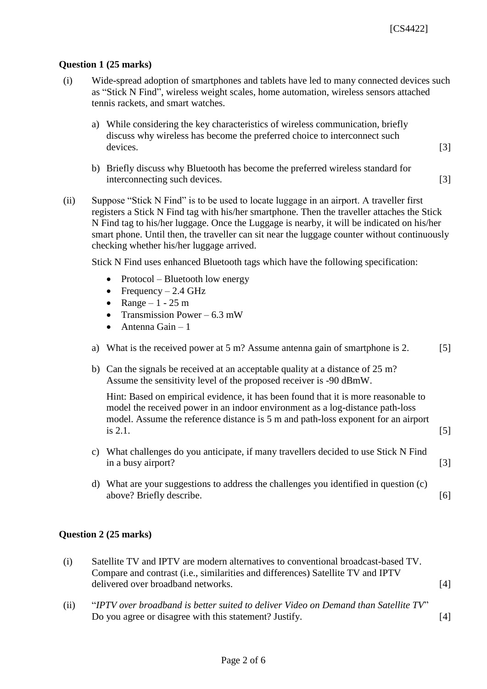#### **Question 1 (25 marks)**

- (i) Wide-spread adoption of smartphones and tablets have led to many connected devices such as "Stick N Find", wireless weight scales, home automation, wireless sensors attached tennis rackets, and smart watches.
	- a) While considering the key characteristics of wireless communication, briefly discuss why wireless has become the preferred choice to interconnect such devices. [3]
	- b) Briefly discuss why Bluetooth has become the preferred wireless standard for interconnecting such devices. [3]
- (ii) Suppose "Stick N Find" is to be used to locate luggage in an airport. A traveller first registers a Stick N Find tag with his/her smartphone. Then the traveller attaches the Stick N Find tag to his/her luggage. Once the Luggage is nearby, it will be indicated on his/her smart phone. Until then, the traveller can sit near the luggage counter without continuously checking whether his/her luggage arrived.

Stick N Find uses enhanced Bluetooth tags which have the following specification:

- Protocol Bluetooth low energy
- Frequency 2.4 GHz
- Range 1 25 m
- Transmission Power 6.3 mW
- $\bullet$  Antenna Gain 1
- a) What is the received power at  $5 \text{ m}$ ? Assume antenna gain of smartphone is 2. [5]
- b) Can the signals be received at an acceptable quality at a distance of 25 m? Assume the sensitivity level of the proposed receiver is -90 dBmW.

Hint: Based on empirical evidence, it has been found that it is more reasonable to model the received power in an indoor environment as a log-distance path-loss model. Assume the reference distance is 5 m and path-loss exponent for an airport is 2.1.  $[5]$ 

- c) What challenges do you anticipate, if many travellers decided to use Stick N Find in a busy airport? [3]
- d) What are your suggestions to address the challenges you identified in question (c) above? Briefly describe. [6]

#### **Question 2 (25 marks)**

- (i) Satellite TV and IPTV are modern alternatives to conventional broadcast-based TV. Compare and contrast (i.e., similarities and differences) Satellite TV and IPTV delivered over broadband networks. [4]
- (ii) "*IPTV over broadband is better suited to deliver Video on Demand than Satellite TV*" Do you agree or disagree with this statement? Justify. [4]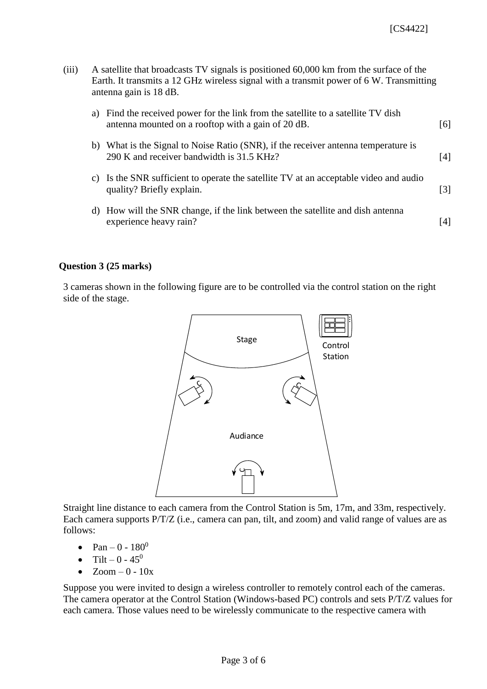| (iii) | A satellite that broadcasts TV signals is positioned 60,000 km from the surface of the  |
|-------|-----------------------------------------------------------------------------------------|
|       | Earth. It transmits a 12 GHz wireless signal with a transmit power of 6 W. Transmitting |
|       | antenna gain is 18 dB.                                                                  |

| a) | Find the received power for the link from the satellite to a satellite TV dish<br>antenna mounted on a rooftop with a gain of 20 dB. | 161 |
|----|--------------------------------------------------------------------------------------------------------------------------------------|-----|
| b) | What is the Signal to Noise Ratio (SNR), if the receiver antenna temperature is<br>290 K and receiver bandwidth is 31.5 KHz?         | [4] |
| C) | Is the SNR sufficient to operate the satellite TV at an acceptable video and audio<br>quality? Briefly explain.                      | [3] |
| d) | How will the SNR change, if the link between the satellite and dish antenna<br>experience heavy rain?                                | 14  |

#### **Question 3 (25 marks)**

3 cameras shown in the following figure are to be controlled via the control station on the right side of the stage.



Straight line distance to each camera from the Control Station is 5m, 17m, and 33m, respectively. Each camera supports P/T/Z (i.e., camera can pan, tilt, and zoom) and valid range of values are as follows:

- Pan 0  $180^0$
- Tilt 0  $45^0$
- $\bullet$  Zoom  $-0$   $10x$

Suppose you were invited to design a wireless controller to remotely control each of the cameras. The camera operator at the Control Station (Windows-based PC) controls and sets P/T/Z values for each camera. Those values need to be wirelessly communicate to the respective camera with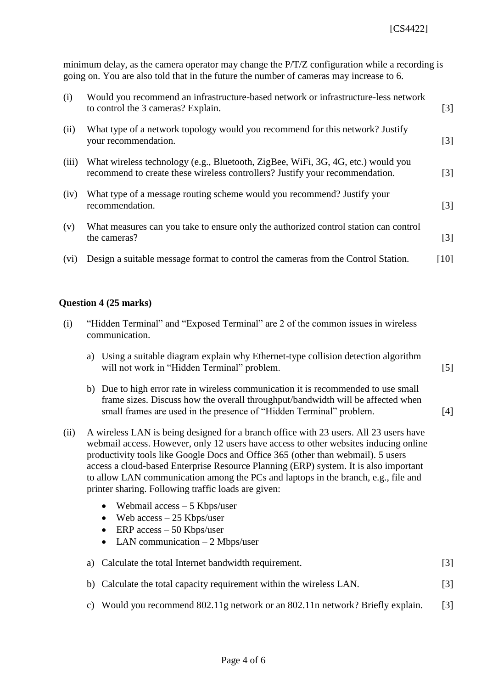minimum delay, as the camera operator may change the P/T/Z configuration while a recording is going on. You are also told that in the future the number of cameras may increase to 6.

| (i)   | Would you recommend an infrastructure-based network or infrastructure-less network<br>to control the 3 cameras? Explain.                                         | $\lceil 3 \rceil$ |
|-------|------------------------------------------------------------------------------------------------------------------------------------------------------------------|-------------------|
| (ii)  | What type of a network topology would you recommend for this network? Justify<br>your recommendation.                                                            | $\lceil 3 \rceil$ |
| (iii) | What wireless technology (e.g., Bluetooth, ZigBee, WiFi, 3G, 4G, etc.) would you<br>recommend to create these wireless controllers? Justify your recommendation. | $\lceil 3 \rceil$ |
| (iv)  | What type of a message routing scheme would you recommend? Justify your<br>recommendation.                                                                       | $\lceil 3 \rceil$ |
| (v)   | What measures can you take to ensure only the authorized control station can control<br>the cameras?                                                             | $\lceil 3 \rceil$ |
| (vi)  | Design a suitable message format to control the cameras from the Control Station.                                                                                | [10]              |

#### **Question 4 (25 marks)**

- (i) "Hidden Terminal" and "Exposed Terminal" are 2 of the common issues in wireless communication.
	- a) Using a suitable diagram explain why Ethernet-type collision detection algorithm will not work in "Hidden Terminal" problem. [5]
	- b) Due to high error rate in wireless communication it is recommended to use small frame sizes. Discuss how the overall throughput/bandwidth will be affected when small frames are used in the presence of "Hidden Terminal" problem. [4]
- (ii) A wireless LAN is being designed for a branch office with 23 users. All 23 users have webmail access. However, only 12 users have access to other websites inducing online productivity tools like Google Docs and Office 365 (other than webmail). 5 users access a cloud-based Enterprise Resource Planning (ERP) system. It is also important to allow LAN communication among the PCs and laptops in the branch, e.g., file and printer sharing. Following traffic loads are given:
	- Webmail  $access 5$  Kbps/user
	- $\bullet$  Web access  $-25$  Kbps/user
	- $\bullet$  ERP access 50 Kbps/user
	- LAN communication  $-2$  Mbps/user

|  | a) Calculate the total Internet bandwidth requirement. |  |
|--|--------------------------------------------------------|--|
|--|--------------------------------------------------------|--|

- b) Calculate the total capacity requirement within the wireless LAN. [3]
- c) Would you recommend 802.11g network or an 802.11n network? Briefly explain. [3]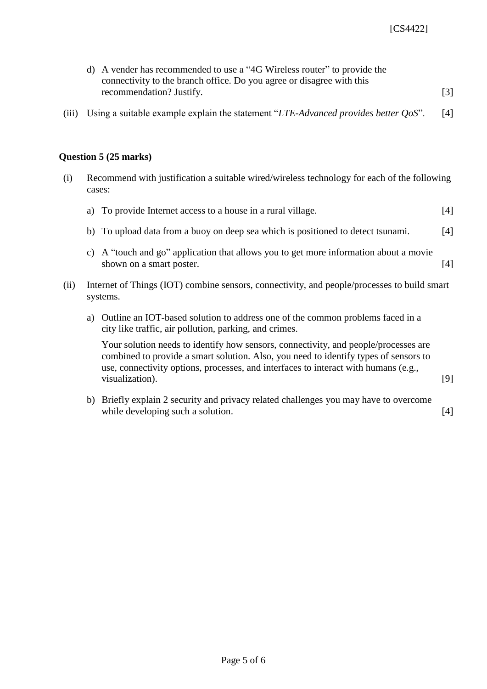| d) A vender has recommended to use a "4G Wireless router" to provide the |                   |
|--------------------------------------------------------------------------|-------------------|
| connectivity to the branch office. Do you agree or disagree with this    |                   |
| recommendation? Justify.                                                 | $\lceil 3 \rceil$ |

(iii) Using a suitable example explain the statement "*LTE-Advanced provides better QoS*". [4]

#### **Question 5 (25 marks)**

(i) Recommend with justification a suitable wired/wireless technology for each of the following cases:

| a) To provide Internet access to a house in a rural village.                     | [4] |
|----------------------------------------------------------------------------------|-----|
| b) To upload data from a buoy on deep sea which is positioned to detect tsunami. | [4] |

- c) A "touch and go" application that allows you to get more information about a movie shown on a smart poster. [4]
- (ii) Internet of Things (IOT) combine sensors, connectivity, and people/processes to build smart systems.
	- a) Outline an IOT-based solution to address one of the common problems faced in a city like traffic, air pollution, parking, and crimes.

Your solution needs to identify how sensors, connectivity, and people/processes are combined to provide a smart solution. Also, you need to identify types of sensors to use, connectivity options, processes, and interfaces to interact with humans (e.g., visualization). [9]

b) Briefly explain 2 security and privacy related challenges you may have to overcome while developing such a solution. [4]